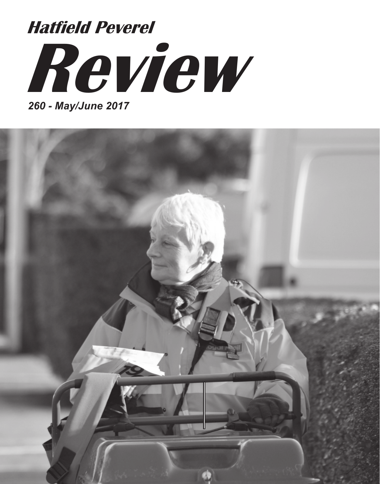# **Review Hatfield Peverel**

*260 - May/June 2017*

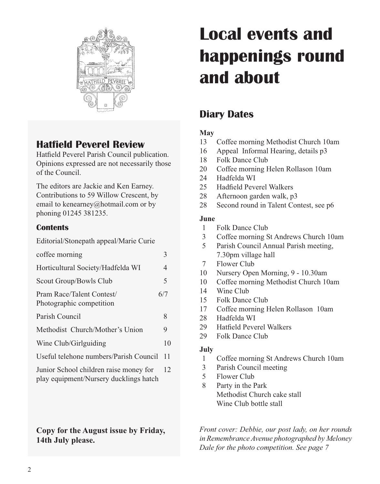

## **Hatfield Peverel Review**

Hatfield Peverel Parish Council publication. Opinions expressed are not necessarily those of the Council.

The editors are Jackie and Ken Earney. Contributions to 59 Willow Crescent, by email to kenearney@hotmail.com or by phoning 01245 381235.

#### **Contents**

| CONTENIS                                              |     |
|-------------------------------------------------------|-----|
| Editorial/Stonepath appeal/Marie Curie                |     |
| coffee morning                                        | 3   |
| Horticultural Society/Hadfelda WI                     | 4   |
| Scout Group/Bowls Club                                | 5   |
| Pram Race/Talent Contest/<br>Photographic competition | 6/7 |
| Parish Council                                        | 8   |
| Methodist Church/Mother's Union                       | 9   |
| Wine Club/Girlguiding                                 | 10  |
| Useful telehone numbers/Parish Council                | 11  |
| Junior School children raise money for                | 12  |

play equipment/Nursery ducklings hatch

#### **Copy for the August issue by Friday, 14th July please.**

## **Local events and happenings round and about**

## **Diary Dates**

#### **May**

- 13 Coffee morning Methodist Church 10am
- 16 Appeal Informal Hearing, details p3
- 18 Folk Dance Club
- 20 Coffee morning Helen Rollason 10am
- 24 Hadfelda WI
- 25 Hadfield Peverel Walkers
- 28 Afternoon garden walk, p3
- 28 Second round in Talent Contest, see p6

#### **June**

- 1 Folk Dance Club
- 3 Coffee morning St Andrews Church 10am
- 5 Parish Council Annual Parish meeting, 7.30pm village hall
- 7 Flower Club
- 10 Nursery Open Morning, 9 10.30am
- 10 Coffee morning Methodist Church 10am
- 14 Wine Club
- 15 Folk Dance Club
- 17 Coffee morning Helen Rollason 10am
- 28 Hadfelda WI
- 29 Hatfield Peverel Walkers
- 29 Folk Dance Club

#### **July**

- 1 Coffee morning St Andrews Church 10am
- 3 Parish Council meeting
- 5 Flower Club
- 8 Party in the Park Methodist Church cake stall Wine Club bottle stall

*Front cover: Debbie, our post lady, on her rounds in Remembrance Avenue photographed by Meloney Dale for the photo competition. See page 7*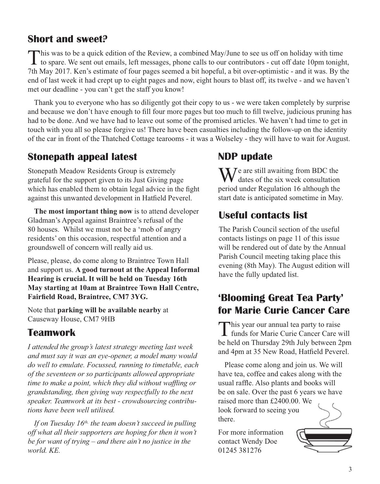## **Short and sweet?**

This was to be a quick edition of the Review, a combined May/June to see us off on holiday with time **I** to spare. We sent out emails, left messages, phone calls to our contributors - cut off date 10pm tonight, 7th May 2017. Ken's estimate of four pages seemed a bit hopeful, a bit over-optimistic - and it was. By the end of last week it had crept up to eight pages and now, eight hours to blast off, its twelve - and we haven't met our deadline - you can't get the staff you know!

Thank you to everyone who has so diligently got their copy to us - we were taken completely by surprise and because we don't have enough to fill four more pages but too much to fill twelve, judicious pruning has had to be done. And we have had to leave out some of the promised articles. We haven't had time to get in touch with you all so please forgive us! There have been casualties including the follow-up on the identity of the car in front of the Thatched Cottage tearooms - it was a Wolseley - they will have to wait for August.

## **Stonepath appeal latest**

Stonepath Meadow Residents Group is extremely grateful for the support given to its Just Giving page which has enabled them to obtain legal advice in the fight against this unwanted development in Hatfield Peverel.

**The most important thing now** is to attend developer Gladman's Appeal against Braintree's refusal of the 80 houses. Whilst we must not be a 'mob of angry residents' on this occasion, respectful attention and a groundswell of concern will really aid us.

Please, please, do come along to Braintree Town Hall and support us. **A good turnout at the Appeal Informal Hearing is crucial. It will be held on Tuesday 16th May starting at 10am at Braintree Town Hall Centre, Fairfield Road, Braintree, CM7 3YG.** 

Note that **parking will be available nearby** at Causeway House, CM7 9HB

## **Teamwork**

*I attended the group's latest strategy meeting last week and must say it was an eye-opener, a model many would do well to emulate. Focussed, running to timetable, each of the seventeen or so participants allowed appropriate time to make a point, which they did without waffling or grandstanding, then giving way respectfully to the next speaker. Teamwork at its best - crowdsourcing contributions have been well utilised.*

*If on Tuesday 16th, the team doesn't succeed in pulling off what all their supporters are hoping for then it won't be for want of trying – and there ain't no justice in the world. KE.*

## **NDP update**

 $\sum$  *J* e are still awaiting from BDC the dates of the six week consultation period under Regulation 16 although the start date is anticipated sometime in May.

## **Useful contacts list**

The Parish Council section of the useful contacts listings on page 11 of this issue will be rendered out of date by the Annual Parish Council meeting taking place this evening (8th May). The August edition will have the fully updated list.

## **'Blooming Great Tea Party' for Marie Curie Cancer Care**

This year our annual tea party to raise<br>
funds for Marie Curie Cancer Care will be held on Thursday 29th July between 2pm and 4pm at 35 New Road, Hatfield Peverel.

Please come along and join us. We will have tea, coffee and cakes along with the usual raffle. Also plants and books will be on sale. Over the past 6 years we have raised more than £2400.00. We

look forward to seeing you there.

For more information contact Wendy Doe 01245 381276

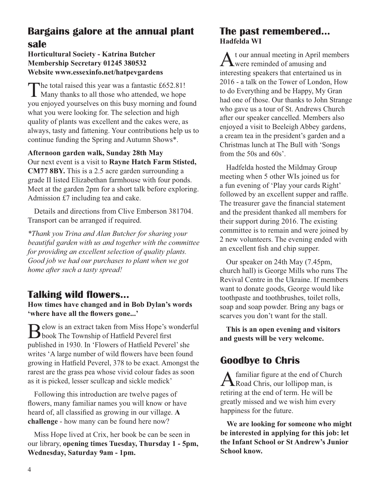## **Bargains galore at the annual plant sale**

#### **Horticultural Society - Katrina Butcher Membership Secretary 01245 380532 Website www.essexinfo.net/hatpevgardens**

The total raised this year was a fantastic £652.81!<br>Many thanks to all those who attended, we hope you enjoyed yourselves on this busy morning and found what you were looking for. The selection and high quality of plants was excellent and the cakes were, as always, tasty and fattening. Your contributions help us to continue funding the Spring and Autumn Shows\*.

**Afternoon garden walk, Sunday 28th May** Our next event is a visit to **Rayne Hatch Farm Stisted, CM77 8BY.** This is a 2.5 acre garden surrounding a grade II listed Elizabethan farmhouse with four ponds. Meet at the garden 2pm for a short talk before exploring. Admission £7 including tea and cake.

Details and directions from Clive Emberson 381704. Transport can be arranged if required.

*\*Thank you Trina and Alan Butcher for sharing your beautiful garden with us and together with the committee for providing an excellent selection of quality plants. Good job we had our purchases to plant when we got home after such a tasty spread!*

## **Talking wild flowers...**

**How times have changed and in Bob Dylan's words 'where have all the flowers gone...'**

Below is an extract taken from Miss Hope's wonderful<br>book The Township of Hatfield Peverel first published in 1930. In 'Flowers of Hatfield Peverel' she writes 'A large number of wild flowers have been found growing in Hatfield Peverel, 378 to be exact. Amongst the rarest are the grass pea whose vivid colour fades as soon as it is picked, lesser scullcap and sickle medick'

Following this introduction are twelve pages of flowers, many familiar names you will know or have heard of, all classified as growing in our village. **A challenge** - how many can be found here now?

Miss Hope lived at Crix, her book be can be seen in our library, **opening times Tuesday, Thursday 1 - 5pm, Wednesday, Saturday 9am - 1pm.**

#### **The past remembered... Hadfelda WI**

t our annual meeting in April members  $\Lambda$  were reminded of amusing and interesting speakers that entertained us in 2016 - a talk on the Tower of London, How to do Everything and be Happy, My Gran had one of those. Our thanks to John Strange who gave us a tour of St. Andrews Church after our speaker cancelled. Members also enjoyed a visit to Beeleigh Abbey gardens, a cream tea in the president's garden and a Christmas lunch at The Bull with 'Songs from the 50s and 60s'.

Hadfelda hosted the Mildmay Group meeting when 5 other WIs joined us for a fun evening of 'Play your cards Right' followed by an excellent supper and raffle. The treasurer gave the financial statement and the president thanked all members for their support during 2016. The existing committee is to remain and were joined by 2 new volunteers. The evening ended with an excellent fish and chip supper.

Our speaker on 24th May (7.45pm, church hall) is George Mills who runs The Revival Centre in the Ukraine. If members want to donate goods, George would like toothpaste and toothbrushes, toilet rolls, soap and soap powder. Bring any bags or scarves you don't want for the stall.

**This is an open evening and visitors and guests will be very welcome.**

## **Goodbye to Chris**

A familiar figure at the end of Church<br>Road Chris, our lollipop man, is retiring at the end of term. He will be greatly missed and we wish him every happiness for the future.

**We are looking for someone who might be interested in applying for this job: let the Infant School or St Andrew's Junior School know.**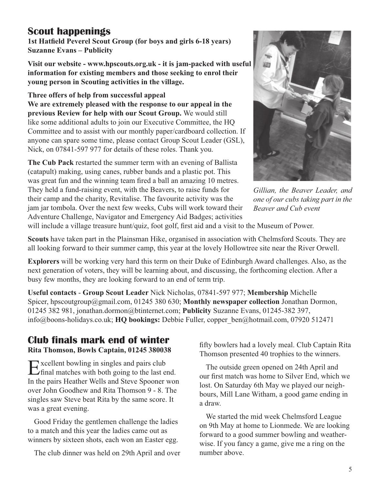## **Scout happenings**

**1st Hatfield Peverel Scout Group (for boys and girls 6-18 years) Suzanne Evans – Publicity**

**Visit our website - www.hpscouts.org.uk - it is jam-packed with useful information for existing members and those seeking to enrol their young person in Scouting activities in the village.**

**Three offers of help from successful appeal We are extremely pleased with the response to our appeal in the previous Review for help with our Scout Group.** We would still like some additional adults to join our Executive Committee, the HQ Committee and to assist with our monthly paper/cardboard collection. If anyone can spare some time, please contact Group Scout Leader (GSL), Nick, on 07841-597 977 for details of these roles. Thank you.

**The Cub Pack** restarted the summer term with an evening of Ballista (catapult) making, using canes, rubber bands and a plastic pot. This was great fun and the winning team fired a ball an amazing 10 metres. They held a fund-raising event, with the Beavers, to raise funds for their camp and the charity, Revitalise. The favourite activity was the jam jar tombola. Over the next few weeks, Cubs will work toward their Adventure Challenge, Navigator and Emergency Aid Badges; activities



*Gillian, the Beaver Leader, and one of our cubs taking part in the Beaver and Cub event*

will include a village treasure hunt/quiz, foot golf, first aid and a visit to the Museum of Power.

**Scouts** have taken part in the Plainsman Hike, organised in association with Chelmsford Scouts. They are all looking forward to their summer camp, this year at the lovely Hollowtree site near the River Orwell.

**Explorers** will be working very hard this term on their Duke of Edinburgh Award challenges. Also, as the next generation of voters, they will be learning about, and discussing, the forthcoming election. After a busy few months, they are looking forward to an end of term trip.

**Useful contacts** - **Group Scout Leader** Nick Nicholas, 07841-597 977; **Membership** Michelle Spicer, hpscoutgroup@gmail.com, 01245 380 630; **Monthly newspaper collection** Jonathan Dormon, 01245 382 981, jonathan.dormon@btinternet.com; **Publicity** Suzanne Evans, 01245-382 397, info@boons-holidays.co.uk; **HQ bookings:** Debbie Fuller, copper\_ben@hotmail.com, 07920 512471

## **Club finals mark end of winter**

**Rita Thomson, Bowls Captain, 01245 380038**

Excellent bowling in singles and pairs club<br>final matches with both going to the last end. In the pairs Heather Wells and Steve Spooner won over John Goodhew and Rita Thomson 9 - 8. The singles saw Steve beat Rita by the same score. It was a great evening.

Good Friday the gentlemen challenge the ladies to a match and this year the ladies came out as winners by sixteen shots, each won an Easter egg.

The club dinner was held on 29th April and over

fifty bowlers had a lovely meal. Club Captain Rita Thomson presented 40 trophies to the winners.

The outside green opened on 24th April and our first match was home to Silver End, which we lost. On Saturday 6th May we played our neighbours, Mill Lane Witham, a good game ending in a draw.

We started the mid week Chelmsford League on 9th May at home to Lionmede. We are looking forward to a good summer bowling and weatherwise. If you fancy a game, give me a ring on the number above.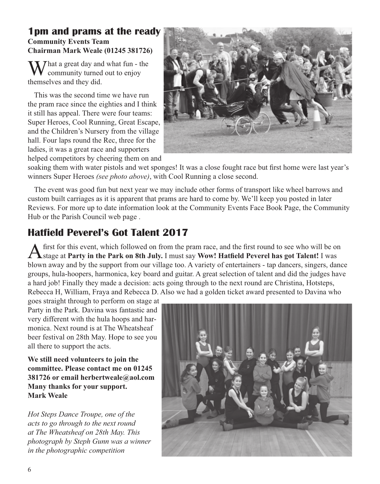#### **1pm and prams at the ready Community Events Team Chairman Mark Weale (01245 381726)**

That a great day and what fun - the community turned out to enjoy themselves and they did.

This was the second time we have run the pram race since the eighties and I think it still has appeal. There were four teams: Super Heroes, Cool Running, Great Escape, and the Children's Nursery from the village hall. Four laps round the Rec, three for the ladies, it was a great race and supporters helped competitors by cheering them on and



soaking them with water pistols and wet sponges! It was a close fought race but first home were last year's winners Super Heroes *(see photo above)*, with Cool Running a close second.

The event was good fun but next year we may include other forms of transport like wheel barrows and custom built carriages as it is apparent that prams are hard to come by. We'll keep you posted in later Reviews. For more up to date information look at the Community Events Face Book Page, the Community Hub or the Parish Council web page .

## **Hatfield Peverel's Got Talent 2017**

A first for this event, which followed on from the pram race, and the first round to see who will be on stage at **Party in the Park on 8th July.** I must say **Wow! Hatfield Peverel has got Talent!** I was blown away and by the support from our village too. A variety of entertainers - tap dancers, singers, dance groups, hula-hoopers, harmonica, key board and guitar. A great selection of talent and did the judges have a hard job! Finally they made a decision: acts going through to the next round are Christina, Hotsteps, Rebecca H, William, Fraya and Rebecca D. Also we had a golden ticket award presented to Davina who

goes straight through to perform on stage at Party in the Park. Davina was fantastic and very different with the hula hoops and harmonica. Next round is at The Wheatsheaf beer festival on 28th May. Hope to see you all there to support the acts.

**We still need volunteers to join the committee. Please contact me on 01245 381726 or email herbertweale@aol.com Many thanks for your support. Mark Weale**

*Hot Steps Dance Troupe, one of the acts to go through to the next round at The Wheatsheaf on 28th May. This photograph by Steph Gunn was a winner in the photographic competition* 

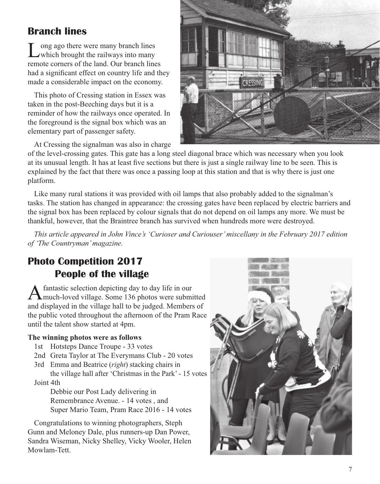## **Branch lines**

Long ago there were many branch lines which brought the railways into many remote corners of the land. Our branch lines had a significant effect on country life and they made a considerable impact on the economy.

This photo of Cressing station in Essex was taken in the post-Beeching days but it is a reminder of how the railways once operated. In the foreground is the signal box which was an elementary part of passenger safety.

At Cressing the signalman was also in charge



of the level-crossing gates. This gate has a long steel diagonal brace which was necessary when you look at its unusual length. It has at least five sections but there is just a single railway line to be seen. This is explained by the fact that there was once a passing loop at this station and that is why there is just one platform.

Like many rural stations it was provided with oil lamps that also probably added to the signalman's tasks. The station has changed in appearance: the crossing gates have been replaced by electric barriers and the signal box has been replaced by colour signals that do not depend on oil lamps any more. We must be thankful, however, that the Braintree branch has survived when hundreds more were destroyed.

*This article appeared in John Vince's 'Curioser and Curiouser' miscellany in the February 2017 edition of 'The Countryman' magazine.*

## **Photo Competition 2017 People of the village**

A fantastic selection depicting day to day life in our<br>
much-loved village. Some 136 photos were submitted and displayed in the village hall to be judged. Members of the public voted throughout the afternoon of the Pram Race until the talent show started at 4pm.

#### **The winning photos were as follows**

- 1st Hotsteps Dance Troupe 33 votes
- 2nd Greta Taylor at The Everymans Club 20 votes
- 3rd Emma and Beatrice (*right*) stacking chairs in
- the village hall after 'Christmas in the Park' 15 votes Joint 4th

 Debbie our Post Lady delivering in Remembrance Avenue. - 14 votes , and Super Mario Team, Pram Race 2016 - 14 votes

Congratulations to winning photographers, Steph Gunn and Meloney Dale, plus runners-up Dan Power, Sandra Wiseman, Nicky Shelley, Vicky Wooler, Helen Mowlam-Tett.

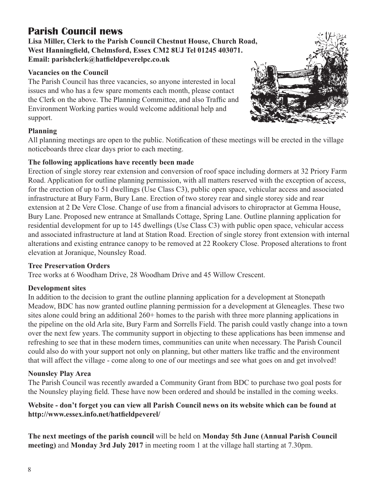## **Parish Council news**

**Lisa Miller, Clerk to the Parish Council Chestnut House, Church Road, West Hanningfield, Chelmsford, Essex CM2 8UJ Tel 01245 403071. Email: parishclerk@hatfieldpeverelpc.co.uk**

#### **Vacancies on the Council**

The Parish Council has three vacancies, so anyone interested in local issues and who has a few spare moments each month, please contact the Clerk on the above. The Planning Committee, and also Traffic and Environment Working parties would welcome additional help and support.



All planning meetings are open to the public. Notification of these meetings will be erected in the village noticeboards three clear days prior to each meeting.

#### **The following applications have recently been made**

Erection of single storey rear extension and conversion of roof space including dormers at 32 Priory Farm Road. Application for outline planning permission, with all matters reserved with the exception of access, for the erection of up to 51 dwellings (Use Class C3), public open space, vehicular access and associated infrastructure at Bury Farm, Bury Lane. Erection of two storey rear and single storey side and rear extension at 2 De Vere Close. Change of use from a financial advisors to chiropractor at Gemma House, Bury Lane. Proposed new entrance at Smallands Cottage, Spring Lane. Outline planning application for residential development for up to 145 dwellings (Use Class C3) with public open space, vehicular access and associated infrastructure at land at Station Road. Erection of single storey front extension with internal alterations and existing entrance canopy to be removed at 22 Rookery Close. Proposed alterations to front elevation at Joranique, Nounsley Road.

#### **Tree Preservation Orders**

Tree works at 6 Woodham Drive, 28 Woodham Drive and 45 Willow Crescent.

#### **Development sites**

In addition to the decision to grant the outline planning application for a development at Stonepath Meadow, BDC has now granted outline planning permission for a development at Gleneagles. These two sites alone could bring an additional 260+ homes to the parish with three more planning applications in the pipeline on the old Arla site, Bury Farm and Sorrells Field. The parish could vastly change into a town over the next few years. The community support in objecting to these applications has been immense and refreshing to see that in these modern times, communities can unite when necessary. The Parish Council could also do with your support not only on planning, but other matters like traffic and the environment that will affect the village - come along to one of our meetings and see what goes on and get involved!

#### **Nounsley Play Area**

The Parish Council was recently awarded a Community Grant from BDC to purchase two goal posts for the Nounsley playing field. These have now been ordered and should be installed in the coming weeks.

#### **Website - don't forget you can view all Parish Council news on its website which can be found at http://www.essex.info.net/hatfieldpeverel/**

**The next meetings of the parish council** will be held on **Monday 5th June (Annual Parish Council meeting)** and **Monday 3rd July 2017** in meeting room 1 at the village hall starting at 7.30pm.

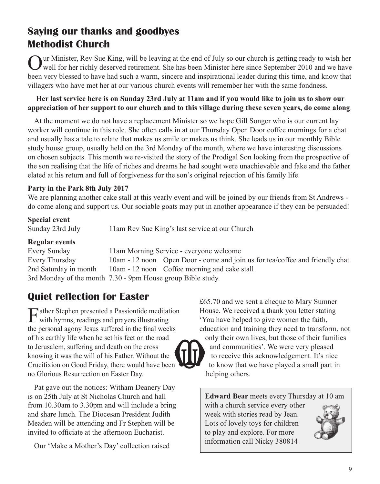## **Saying our thanks and goodbyes Methodist Church**

Our Minister, Rev Sue King, will be leaving at the end of July so our church is getting ready to wish her well for her richly deserved retirement. She has been Minister here since September 2010 and we have been very blessed to have had such a warm, sincere and inspirational leader during this time, and know that villagers who have met her at our various church events will remember her with the same fondness.

#### **Her last service here is on Sunday 23rd July at 11am and if you would like to join us to show our appreciation of her support to our church and to this village during these seven years, do come along**.

At the moment we do not have a replacement Minister so we hope Gill Songer who is our current lay worker will continue in this role. She often calls in at our Thursday Open Door coffee mornings for a chat and usually has a tale to relate that makes us smile or makes us think. She leads us in our monthly Bible study house group, usually held on the 3rd Monday of the month, where we have interesting discussions on chosen subjects. This month we re-visited the story of the Prodigal Son looking from the prospective of the son realising that the life of riches and dreams he had sought were unachievable and fake and the father elated at his return and full of forgiveness for the son's original rejection of his family life.

#### **Party in the Park 8th July 2017**

We are planning another cake stall at this yearly event and will be joined by our friends from St Andrews do come along and support us. Our sociable goats may put in another appearance if they can be persuaded!

#### **Special event**

Sunday 23rd July 11am Rev Sue King's last service at our Church

#### **Regular events**

| Every Sunday                                                | 11am Morning Service - everyone welcome                                      |
|-------------------------------------------------------------|------------------------------------------------------------------------------|
| Every Thursday                                              | 10am - 12 noon Open Door - come and join us for tea/coffee and friendly chat |
| 2nd Saturday in month                                       | 10am - 12 noon Coffee morning and cake stall                                 |
| 3rd Monday of the month 7.30 - 9pm House group Bible study. |                                                                              |

## **Quiet reflection for Easter**

Father Stephen presented a Passiontide meditation<br>with hymns, readings and prayers illustrating the personal agony Jesus suffered in the final weeks of his earthly life when he set his feet on the road to Jerusalem, suffering and death on the cross knowing it was the will of his Father. Without the Crucifixion on Good Friday, there would have been no Glorious Resurrection on Easter Day.

Pat gave out the notices: Witham Deanery Day is on 25th July at St Nicholas Church and hall from 10.30am to 3.30pm and will include a bring and share lunch. The Diocesan President Judith Meaden will be attending and Fr Stephen will be invited to officiate at the afternoon Eucharist.

Our 'Make a Mother's Day' collection raised

£65.70 and we sent a cheque to Mary Sumner House. We received a thank you letter stating 'You have helped to give women the faith, education and training they need to transform, not only their own lives, but those of their families and communities'. We were very pleased to receive this acknowledgement. It's nice to know that we have played a small part in helping others.

**Edward Bear** meets every Thursday at 10 am with a church service every other week with stories read by Jean. Lots of lovely toys for children to play and explore. For more information call Nicky 380814

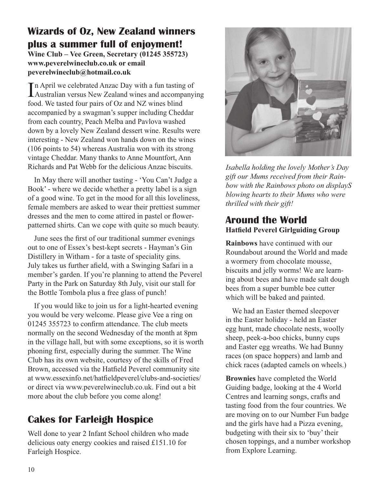## **Wizards of Oz, New Zealand winners plus a summer full of enjoyment!**

**Wine Club – Vee Green, Secretary (01245 355723) www.peverelwineclub.co.uk or email peverelwineclub@hotmail.co.uk**

In April we celebrated Anzac Day with a fun tasting of<br>Australian versus New Zealand wines and accompany Australian versus New Zealand wines and accompanying food. We tasted four pairs of Oz and NZ wines blind accompanied by a swagman's supper including Cheddar from each country, Peach Melba and Pavlova washed down by a lovely New Zealand dessert wine. Results were interesting - New Zealand won hands down on the wines (106 points to 54) whereas Australia won with its strong vintage Cheddar. Many thanks to Anne Mountfort, Ann Richards and Pat Webb for the delicious Anzac biscuits.

In May there will another tasting - 'You Can't Judge a Book' - where we decide whether a pretty label is a sign of a good wine. To get in the mood for all this loveliness, female members are asked to wear their prettiest summer dresses and the men to come attired in pastel or flowerpatterned shirts. Can we cope with quite so much beauty.

June sees the first of our traditional summer evenings out to one of Essex's best-kept secrets - Hayman's Gin Distillery in Witham - for a taste of speciality gins. July takes us further afield, with a Swinging Safari in a member's garden. If you're planning to attend the Peverel Party in the Park on Saturday 8th July, visit our stall for the Bottle Tombola plus a free glass of punch!

If you would like to join us for a light-hearted evening you would be very welcome. Please give Vee a ring on 01245 355723 to confirm attendance. The club meets normally on the second Wednesday of the month at 8pm in the village hall, but with some exceptions, so it is worth phoning first, especially during the summer. The Wine Club has its own website, courtesy of the skills of Fred Brown, accessed via the Hatfield Peverel community site at www.essexinfo.net/hatfieldpeverel/clubs-and-societies/ or direct via www.peverelwineclub.co.uk. Find out a bit more about the club before you come along!

## **Cakes for Farleigh Hospice**

Well done to year 2 Infant School children who made delicious oaty energy cookies and raised £151.10 for Farleigh Hospice.



*Isabella holding the lovely Mother's Day gift our Mums received from their Rainbow with the Rainbows photo on displayS blowing hearts to their Mums who were thrilled with their gift!*

#### **Around the World Hatfield Peverel Girlguiding Group**

**Rainbows** have continued with our Roundabout around the World and made a wormery from chocolate mousse, biscuits and jelly worms! We are learning about bees and have made salt dough bees from a super bumble bee cutter which will be baked and painted.

We had an Easter themed sleepover in the Easter holiday - held an Easter egg hunt, made chocolate nests, woolly sheep, peek-a-boo chicks, bunny cups and Easter egg wreaths. We had Bunny races (on space hoppers) and lamb and chick races (adapted camels on wheels.)

**Brownies** have completed the World Guiding badge, looking at the 4 World Centres and learning songs, crafts and tasting food from the four countries. We are moving on to our Number Fun badge and the girls have had a Pizza evening, budgeting with their six to 'buy' their chosen toppings, and a number workshop from Explore Learning.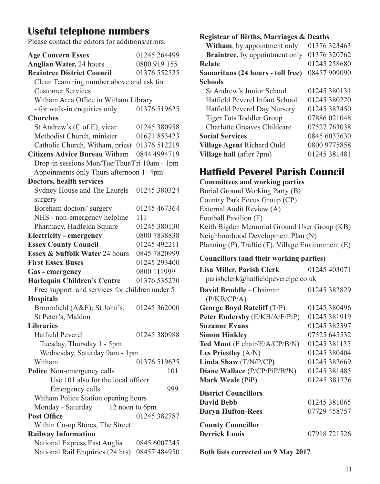## **Useful telephone numbers**

Please contact the editors for additions/errors.

| <b>Age Concern Essex</b>                       | 01245 264499 |  |  |
|------------------------------------------------|--------------|--|--|
| <b>Anglian Water, 24 hours</b>                 | 0800 919 155 |  |  |
| <b>Braintree District Council</b>              | 01376 552525 |  |  |
| Clean Team ring number above and ask for       |              |  |  |
| <b>Customer Services</b>                       |              |  |  |
| Witham Area Office in Witham Library           |              |  |  |
| - for walk-in enquiries only                   | 01376 519625 |  |  |
| <b>Churches</b>                                |              |  |  |
| St Andrew's (C of E), vicar                    | 01245 380958 |  |  |
| Methodist Church, minister                     | 01621 853423 |  |  |
| Catholic Church, Witham, priest 01376 512219   |              |  |  |
| Citizens Advice Bureau Witham 0844 4994719     |              |  |  |
| Drop-in sessions Mon/Tue/Thur/Fri 10am - 1pm   |              |  |  |
| Appoinments only Thurs afternoon 1-4pm         |              |  |  |
| Doctors, health services                       |              |  |  |
| Sydney House and The Laurels                   | 01245 380324 |  |  |
| surgery                                        |              |  |  |
| Boreham doctors' surgery                       | 01245 467364 |  |  |
| NHS - non-emergency helpline                   | 111          |  |  |
| Pharmacy, Hadfelda Square                      | 01245 380130 |  |  |
| <b>Electricity - emergency</b>                 | 0800 7838838 |  |  |
| <b>Essex County Council</b>                    | 01245 492211 |  |  |
| Essex & Suffolk Water 24 hours                 | 0845 7820999 |  |  |
| <b>First Essex Buses</b>                       | 01245 293400 |  |  |
| Gas - emergency                                | 0800 111999  |  |  |
| <b>Harlequin Children's Centre</b>             | 01376 535270 |  |  |
| Free support and services for children under 5 |              |  |  |
| <b>Hospitals</b>                               |              |  |  |
| Broomfield (A&E); St John's,                   | 01245 362000 |  |  |
| St Peter's, Maldon                             |              |  |  |
| <b>Libraries</b>                               |              |  |  |
| Hatfield Peverel                               | 01245 380988 |  |  |
| Tuesday, Thursday 1 - 5pm                      |              |  |  |
| Wednesday, Saturday 9am - 1pm                  |              |  |  |
| Witham                                         | 01376 519625 |  |  |
| Police Non-emergency calls                     | 101          |  |  |
| Use 101 also for the local officer             |              |  |  |
| Emergency calls                                | 999          |  |  |
| Witham Police Station opening hours            |              |  |  |
| Monday - Saturday<br>12 noon to 6pm            |              |  |  |
| <b>Post Office</b>                             | 01245 382787 |  |  |
| Within Co-op Stores, The Street                |              |  |  |
| <b>Railway Information</b>                     |              |  |  |
| National Express East Anglia                   | 0845 6007245 |  |  |
| National Rail Enquiries (24 hrs)               | 08457 484950 |  |  |
|                                                |              |  |  |

#### **Registrar of Births, Marriages & Deaths**

| Witham, by appointment only            | 01376 323463 |
|----------------------------------------|--------------|
| <b>Braintree</b> , by appointment only | 01376 320762 |
| Relate                                 | 01245 258680 |
| Samaritans (24 hours - toll free)      | 08457 909090 |
| <b>Schools</b>                         |              |
| St Andrew's Junior School              | 01245 380131 |
| Hatfield Peverel Infant School         | 01245 380220 |
| Hatfield Peverel Day Nursery           | 01245 382450 |
| Tiger Tots Toddler Group               | 07886 021048 |
| Charlotte Greaves Childcare            | 07527 763038 |
| <b>Social Services</b>                 | 0845 6037630 |
| Village Agent Richard Ould             | 0800 9775858 |
| Village hall (after 7pm)               | 01245 381481 |
|                                        |              |

## **Hatfield Peverel Parish Council**

**Committees and working parties**

Burial Ground Working Party (B) Country Park Focus Group (CP) External Audit Review (A) Football Pavilion (F) Keith Bigden Memorial Ground User Group (KB) Neighbourhood Development Plan (N) Planning (P), Traffic (T), Village Environment (E)

#### **Councillors (and their working parties)**

| Lisa Miller, Parish Clerk                                      | 01245 403071 |
|----------------------------------------------------------------|--------------|
| $parishclerk@hatfield$ parishclerk $@hatfield$ peverelpc.co.uk |              |
| David Broddle - Chaiman                                        | 01245 382829 |
| (P/KB/CP/A)                                                    |              |
| George Boyd Ratcliff (T/P)                                     | 01245 380496 |
| Peter Endersby (E/KB/A/F/PiP)                                  | 01245 381919 |
| <b>Suzanne Evans</b>                                           | 01245 382397 |
| <b>Simon Hinkley</b>                                           | 07525 645532 |
| Ted Munt (F chair/E/A/CP/B/N)                                  | 01245 381135 |
| Les Priestley $(A/N)$                                          | 01245 380404 |
| Linda Shaw (T/N/P/CP)                                          | 01245 382669 |
| Diane Wallace (P/CP/PiP/B?N)                                   | 01245 381485 |
| Mark Weale (PiP)                                               | 01245 381726 |
| <b>District Councillors</b>                                    |              |
| <b>David Bebb</b>                                              | 01245 381065 |
| <b>Daryn Hufton-Rees</b>                                       | 07729 458757 |
| <b>County Councillor</b>                                       |              |
| <b>Derrick Louis</b>                                           | 07918 721526 |
|                                                                |              |

**Both lists corrected on 9 May 2017**